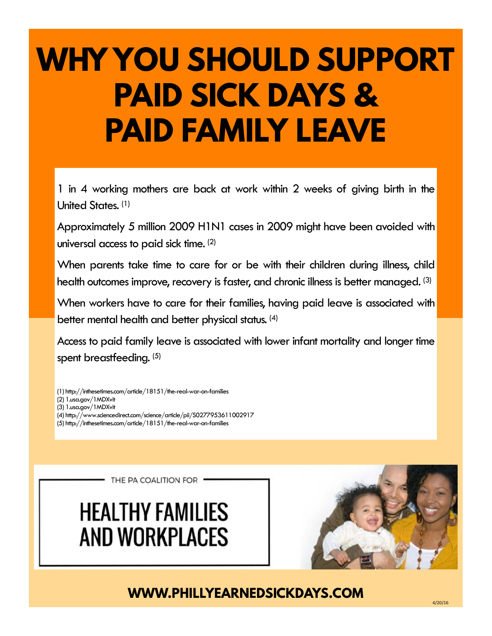# **WHY YOU SHOULD SUPPORT PAID SICK DAYS & PAID FAMILY LEAVE**

1 in 4 working mothers are back at work within 2 weeks of giving birth in the United States. (1)

Approximately 5 million 2009 H1N1 cases in 2009 might have been avoided with universal access to paid sick time. (2)

When parents take time to care for or be with their children during illness, child health outcomes improve, recovery is faster, and chronic illness is better managed. (3)

When workers have to care for their families, having paid leave is associated with better mental health and better physical status. (4)

Access to paid family leave is associated with lower infant mortality and longer time spent breastfeeding. (5)

- (1) http://inthesetimes.com/article/18151/the-real-war-on-families
- (2) 1.usa.gov/1MDXvit
- (3) 1.usa.gov/1MDXvit
- (4) http://www.sciencedirect.com/science/article/pii/S0277953611002917
- (5) http://inthesetimes.com/article/18151/the-real-war-on-families

THE PA COALITION FOR .

## **HEALTHY FAMILIES AND WORKPLACES**



**WWW.PHILLYEARNEDSICKDAYS.COM**